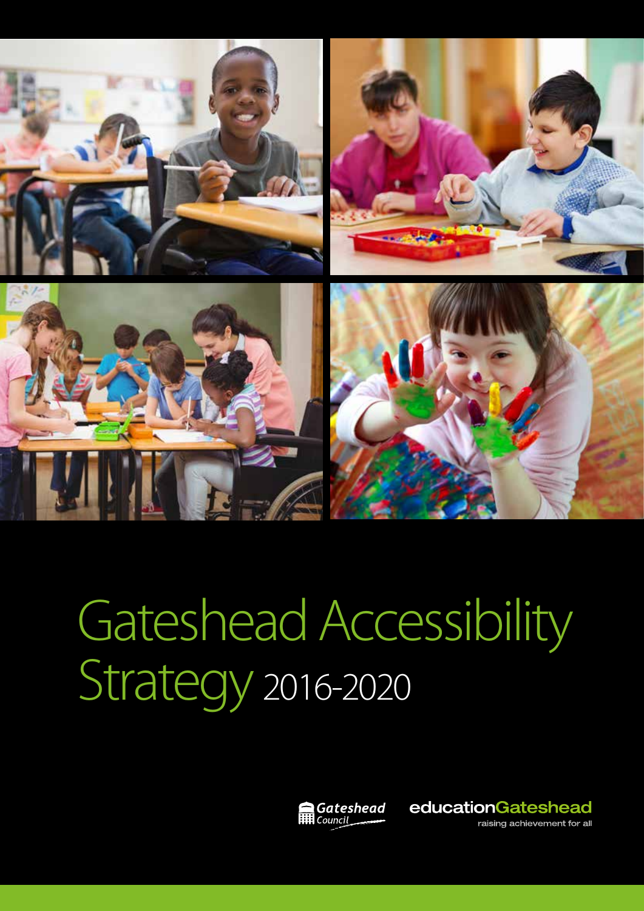

# Gateshead Accessibility Strategy 2016-2020



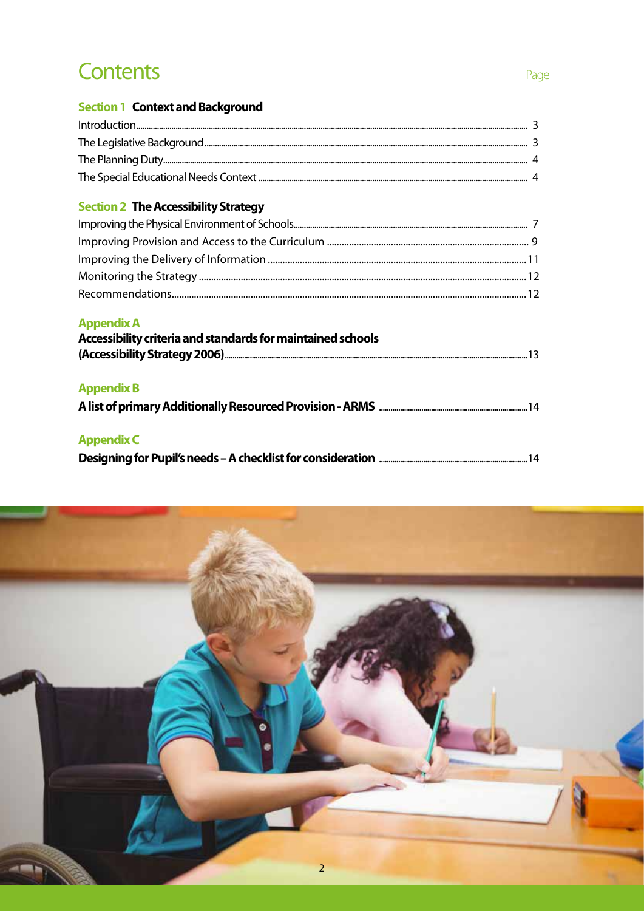### Contents

#### **Section 1 Context and Background**

| <b>Section 2 The Accessibility Strategy</b>                 |  |
|-------------------------------------------------------------|--|
|                                                             |  |
|                                                             |  |
|                                                             |  |
|                                                             |  |
|                                                             |  |
| <b>Appendix A</b>                                           |  |
| Accessibility criteria and standards for maintained schools |  |
|                                                             |  |
| <b>Appendix B</b>                                           |  |
|                                                             |  |
| <b>Appendix C</b>                                           |  |
|                                                             |  |

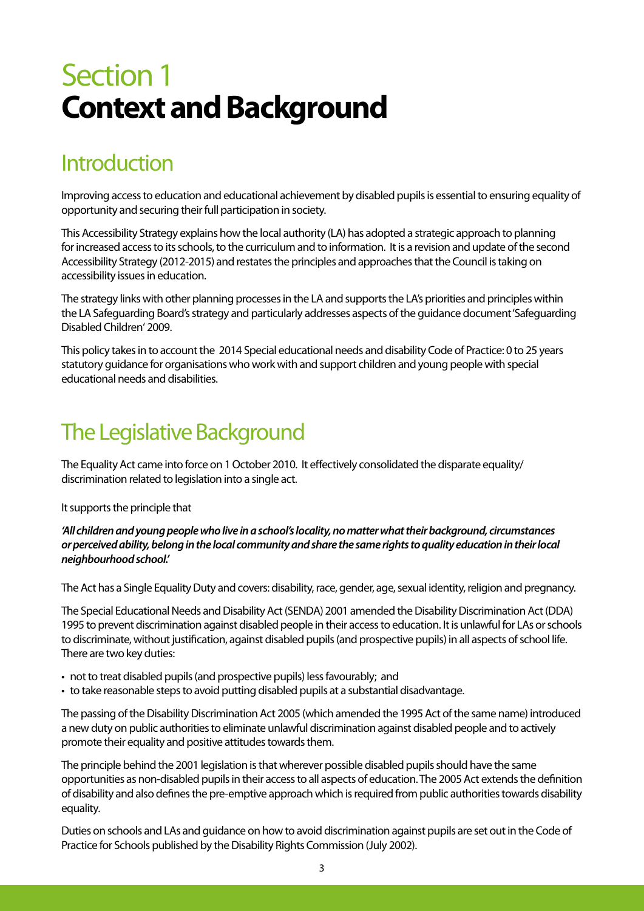## Section 1 **Context and Background**

### Introduction

Improving access to education and educational achievement by disabled pupils is essential to ensuring equality of opportunity and securing their full participation in society.

This Accessibility Strategy explains how the local authority (LA) has adopted a strategic approach to planning for increased access to its schools, to the curriculum and to information. It is a revision and update of the second Accessibility Strategy (2012-2015) and restates the principles and approaches that the Council is taking on accessibility issues in education.

The strategy links with other planning processes in the LA and supports the LA's priorities and principles within the LA Safeguarding Board's strategy and particularly addresses aspects of the guidance document 'Safeguarding Disabled Children' 2009.

This policy takes in to account the 2014 Special educational needs and disability Code of Practice: 0 to 25 years statutory guidance for organisations who work with and support children and young people with special educational needs and disabilities.

### The Legislative Background

The Equality Act came into force on 1 October 2010. It effectively consolidated the disparate equality/ discrimination related to legislation into a single act.

It supports the principle that

#### *'All children and young people who live in a school's locality, no matter what their background, circumstances or perceived ability, belong in the local community and share the same rights to quality education in their local neighbourhood school.'*

The Act has a Single Equality Duty and covers: disability, race, gender, age, sexual identity, religion and pregnancy.

The Special Educational Needs and Disability Act (SENDA) 2001 amended the Disability Discrimination Act (DDA) 1995 to prevent discrimination against disabled people in their access to education. It is unlawful for LAs or schools to discriminate, without justification, against disabled pupils (and prospective pupils) in all aspects of school life. There are two key duties:

- not to treat disabled pupils (and prospective pupils) less favourably; and
- to take reasonable steps to avoid putting disabled pupils at a substantial disadvantage.

The passing of the Disability Discrimination Act 2005 (which amended the 1995 Act of the same name) introduced a new duty on public authorities to eliminate unlawful discrimination against disabled people and to actively promote their equality and positive attitudes towards them.

The principle behind the 2001 legislation is that wherever possible disabled pupils should have the same opportunities as non-disabled pupils in their access to all aspects of education. The 2005 Act extends the definition of disability and also defines the pre-emptive approach which is required from public authorities towards disability equality.

Duties on schools and LAs and guidance on how to avoid discrimination against pupils are set out in the Code of Practice for Schools published by the Disability Rights Commission (July 2002).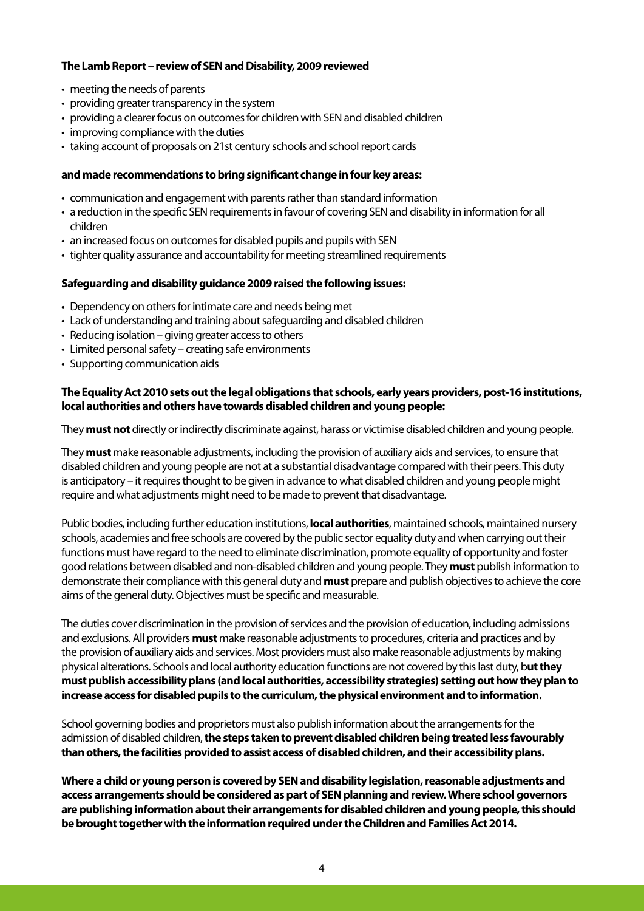#### **The Lamb Report – review of SEN and Disability, 2009 reviewed**

- meeting the needs of parents
- providing greater transparency in the system
- providing a clearer focus on outcomes for children with SEN and disabled children
- improving compliance with the duties
- taking account of proposals on 21st century schools and school report cards

#### **and made recommendations to bring significant change in four key areas:**

- communication and engagement with parents rather than standard information
- a reduction in the specific SEN requirements in favour of covering SEN and disability in information for all children
- an increased focus on outcomes for disabled pupils and pupils with SEN
- tighter quality assurance and accountability for meeting streamlined requirements

#### **Safeguarding and disability guidance 2009 raised the following issues:**

- Dependency on others for intimate care and needs being met
- Lack of understanding and training about safeguarding and disabled children
- Reducing isolation giving greater access to others
- Limited personal safety creating safe environments
- Supporting communication aids

#### **The Equality Act 2010 sets out the legal obligations that schools, early years providers, post-16 institutions, local authorities and others have towards disabled children and young people:**

They **must not** directly or indirectly discriminate against, harass or victimise disabled children and young people.

They **must** make reasonable adjustments, including the provision of auxiliary aids and services, to ensure that disabled children and young people are not at a substantial disadvantage compared with their peers. This duty is anticipatory – it requires thought to be given in advance to what disabled children and young people might require and what adjustments might need to be made to prevent that disadvantage.

Public bodies, including further education institutions, **local authorities**, maintained schools, maintained nursery schools, academies and free schools are covered by the public sector equality duty and when carrying out their functions must have regard to the need to eliminate discrimination, promote equality of opportunity and foster good relations between disabled and non-disabled children and young people. They **must** publish information to demonstrate their compliance with this general duty and **must** prepare and publish objectives to achieve the core aims of the general duty. Objectives must be specific and measurable.

The duties cover discrimination in the provision of services and the provision of education, including admissions and exclusions. All providers **must** make reasonable adjustments to procedures, criteria and practices and by the provision of auxiliary aids and services. Most providers must also make reasonable adjustments by making physical alterations. Schools and local authority education functions are not covered by this last duty, b**ut they must publish accessibility plans (and local authorities, accessibility strategies) setting out how they plan to increase access for disabled pupils to the curriculum, the physical environment and to information.**

School governing bodies and proprietors must also publish information about the arrangements for the admission of disabled children, **the steps taken to prevent disabled children being treated less favourably than others, the facilities provided to assist access of disabled children, and their accessibility plans.** 

**Where a child or young person is covered by SEN and disability legislation, reasonable adjustments and access arrangements should be considered as part of SEN planning and review. Where school governors are publishing information about their arrangements for disabled children and young people, this should be brought together with the information required under the Children and Families Act 2014.**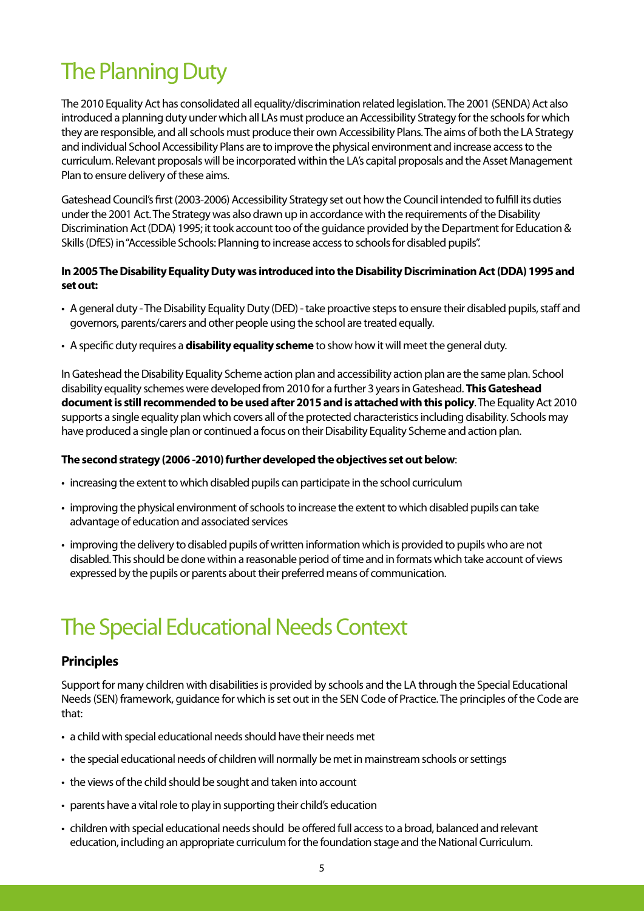### The Planning Duty

The 2010 Equality Act has consolidated all equality/discrimination related legislation. The 2001 (SENDA) Act also introduced a planning duty under which all LAs must produce an Accessibility Strategy for the schools for which they are responsible, and all schools must produce their own Accessibility Plans. The aims of both the LA Strategy and individual School Accessibility Plans are to improve the physical environment and increase access to the curriculum. Relevant proposals will be incorporated within the LA's capital proposals and the Asset Management Plan to ensure delivery of these aims.

Gateshead Council's first (2003-2006) Accessibility Strategy set out how the Council intended to fulfill its duties under the 2001 Act. The Strategy was also drawn up in accordance with the requirements of the Disability Discrimination Act (DDA) 1995; it took account too of the guidance provided by the Department for Education & Skills (DfES) in "Accessible Schools: Planning to increase access to schools for disabled pupils".

#### **In 2005 The Disability Equality Duty was introduced into the Disability Discrimination Act (DDA) 1995 and set out:**

- A general duty The Disability Equality Duty (DED) take proactive steps to ensure their disabled pupils, staff and governors, parents/carers and other people using the school are treated equally.
- A specific duty requires a **disability equality scheme** to show how it will meet the general duty.

In Gateshead the Disability Equality Scheme action plan and accessibility action plan are the same plan. School disability equality schemes were developed from 2010 for a further 3 years in Gateshead. **This Gateshead document is still recommended to be used after 2015 and is attached with this policy**. The Equality Act 2010 supports a single equality plan which covers all of the protected characteristics including disability. Schools may have produced a single plan or continued a focus on their Disability Equality Scheme and action plan.

#### **The second strategy (2006 -2010) further developed the objectives set out below**:

- increasing the extent to which disabled pupils can participate in the school curriculum
- improving the physical environment of schools to increase the extent to which disabled pupils can take advantage of education and associated services
- improving the delivery to disabled pupils of written information which is provided to pupils who are not disabled. This should be done within a reasonable period of time and in formats which take account of views expressed by the pupils or parents about their preferred means of communication.

### The Special Educational Needs Context

#### **Principles**

Support for many children with disabilities is provided by schools and the LA through the Special Educational Needs (SEN) framework, guidance for which is set out in the SEN Code of Practice. The principles of the Code are that:

- a child with special educational needs should have their needs met
- the special educational needs of children will normally be met in mainstream schools or settings
- the views of the child should be sought and taken into account
- parents have a vital role to play in supporting their child's education
- children with special educational needs should be offered full access to a broad, balanced and relevant education, including an appropriate curriculum for the foundation stage and the National Curriculum.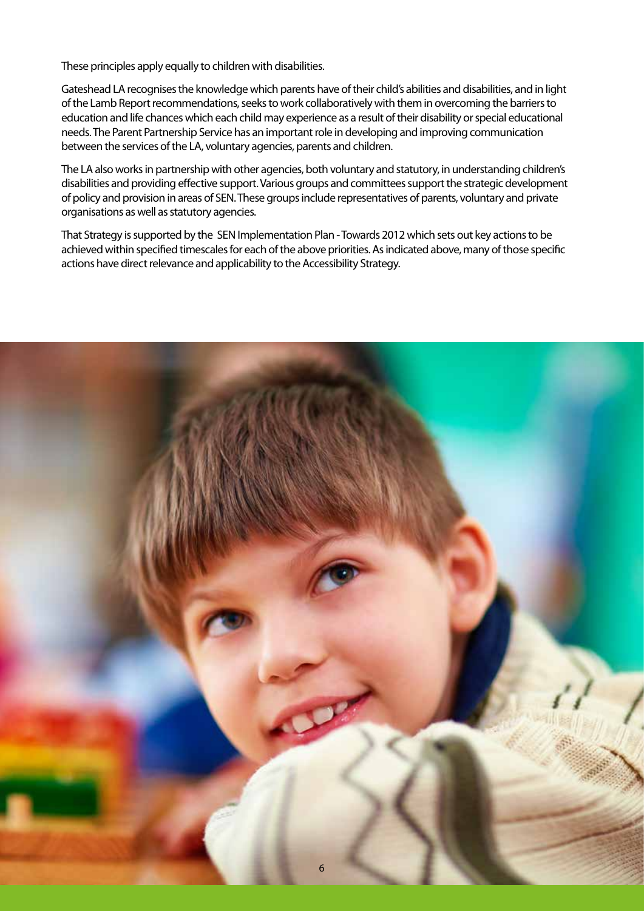These principles apply equally to children with disabilities.

Gateshead LA recognises the knowledge which parents have of their child's abilities and disabilities, and in light of the Lamb Report recommendations, seeks to work collaboratively with them in overcoming the barriers to education and life chances which each child may experience as a result of their disability or special educational needs. The Parent Partnership Service has an important role in developing and improving communication between the services of the LA, voluntary agencies, parents and children.

The LA also works in partnership with other agencies, both voluntary and statutory, in understanding children's disabilities and providing effective support. Various groups and committees support the strategic development of policy and provision in areas of SEN. These groups include representatives of parents, voluntary and private organisations as well as statutory agencies.

That Strategy is supported by the SEN Implementation Plan - Towards 2012 which sets out key actions to be achieved within specified timescales for each of the above priorities. As indicated above, many of those specific actions have direct relevance and applicability to the Accessibility Strategy.

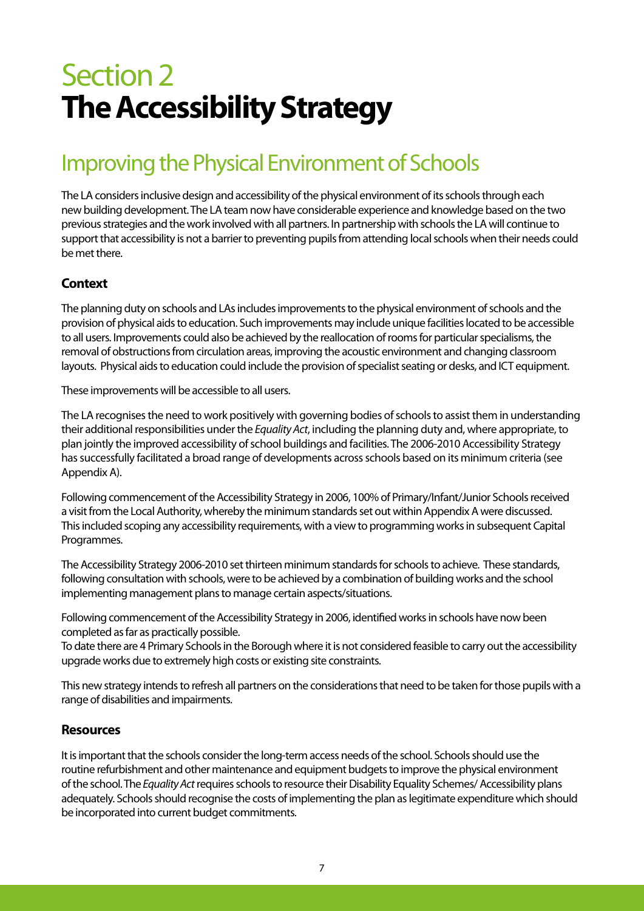# Section 2 **The Accessibility Strategy**

### Improving the Physical Environment of Schools

The LA considers inclusive design and accessibility of the physical environment of its schools through each new building development. The LA team now have considerable experience and knowledge based on the two previous strategies and the work involved with all partners. In partnership with schools the LA will continue to support that accessibility is not a barrier to preventing pupils from attending local schools when their needs could be met there.

#### **Context**

The planning duty on schools and LAs includes improvements to the physical environment of schools and the provision of physical aids to education. Such improvements may include unique facilities located to be accessible to all users. Improvements could also be achieved by the reallocation of rooms for particular specialisms, the removal of obstructions from circulation areas, improving the acoustic environment and changing classroom layouts. Physical aids to education could include the provision of specialist seating or desks, and ICT equipment.

These improvements will be accessible to all users.

The LA recognises the need to work positively with governing bodies of schools to assist them in understanding their additional responsibilities under the *Equality Act*, including the planning duty and, where appropriate, to plan jointly the improved accessibility of school buildings and facilities. The 2006-2010 Accessibility Strategy has successfully facilitated a broad range of developments across schools based on its minimum criteria (see Appendix A).

Following commencement of the Accessibility Strategy in 2006, 100% of Primary/Infant/Junior Schools received a visit from the Local Authority, whereby the minimum standards set out within Appendix A were discussed. This included scoping any accessibility requirements, with a view to programming works in subsequent Capital Programmes.

The Accessibility Strategy 2006-2010 set thirteen minimum standards for schools to achieve. These standards, following consultation with schools, were to be achieved by a combination of building works and the school implementing management plans to manage certain aspects/situations.

Following commencement of the Accessibility Strategy in 2006, identified works in schools have now been completed as far as practically possible.

To date there are 4 Primary Schools in the Borough where it is not considered feasible to carry out the accessibility upgrade works due to extremely high costs or existing site constraints.

This new strategy intends to refresh all partners on the considerations that need to be taken for those pupils with a range of disabilities and impairments.

#### **Resources**

It is important that the schools consider the long-term access needs of the school. Schools should use the routine refurbishment and other maintenance and equipment budgets to improve the physical environment of the school. The *Equality Act* requires schools to resource their Disability Equality Schemes/ Accessibility plans adequately. Schools should recognise the costs of implementing the plan as legitimate expenditure which should be incorporated into current budget commitments.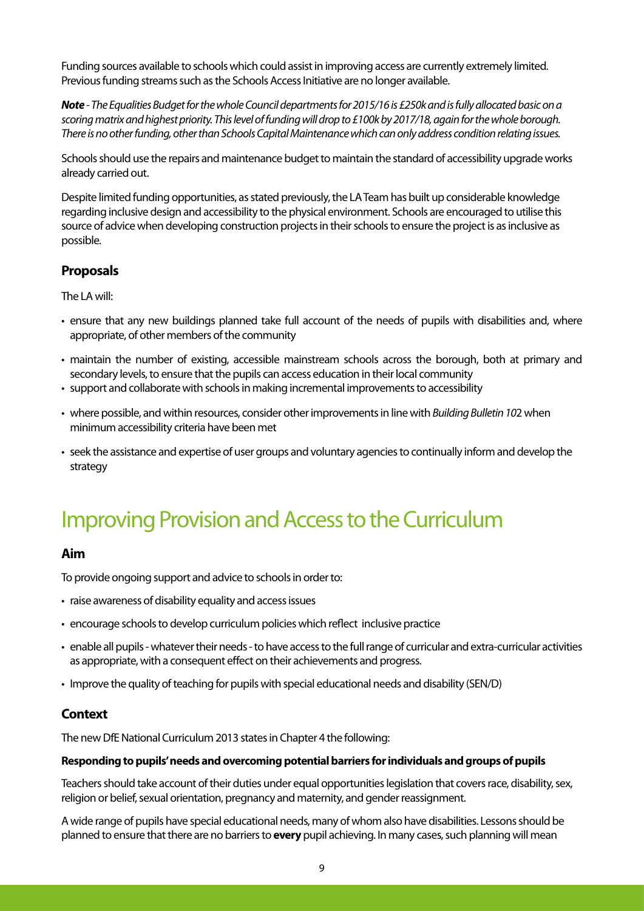Funding sources available to schools which could assist in improving access are currently extremely limited. Previous funding streams such as the Schools Access Initiative are no longer available.

*Note - The Equalities Budget for the whole Council departments for 2015/16 is £250k and is fully allocated basic on a scoring matrix and highest priority. This level of funding will drop to £100k by 2017/18, again for the whole borough. There is no other funding, other than Schools Capital Maintenance which can only address condition relating issues.* 

Schools should use the repairs and maintenance budget to maintain the standard of accessibility upgrade works already carried out.

Despite limited funding opportunities, as stated previously, the LA Team has built up considerable knowledge regarding inclusive design and accessibility to the physical environment. Schools are encouraged to utilise this source of advice when developing construction projects in their schools to ensure the project is as inclusive as possible.

#### **Proposals**

The LA will:

- ensure that any new buildings planned take full account of the needs of pupils with disabilities and, where appropriate, of other members of the community
- maintain the number of existing, accessible mainstream schools across the borough, both at primary and secondary levels, to ensure that the pupils can access education in their local community
- support and collaborate with schools in making incremental improvements to accessibility
- where possible, and within resources, consider other improvements in line with *Building Bulletin 10*2 when minimum accessibility criteria have been met
- seek the assistance and expertise of user groups and voluntary agencies to continually inform and develop the strategy

### Improving Provision and Access to the Curriculum

#### **Aim**

To provide ongoing support and advice to schools in order to:

- raise awareness of disability equality and access issues
- encourage schools to develop curriculum policies which reflect inclusive practice
- enable all pupils whatever their needs to have access to the full range of curricular and extra-curricular activities as appropriate, with a consequent effect on their achievements and progress.
- Improve the quality of teaching for pupils with special educational needs and disability (SEN/D)

#### **Context**

The new DfE National Curriculum 2013 states in Chapter 4 the following:

#### **Responding to pupils' needs and overcoming potential barriers for individuals and groups of pupils**

Teachers should take account of their duties under equal opportunities legislation that covers race, disability, sex, religion or belief, sexual orientation, pregnancy and maternity, and gender reassignment.

A wide range of pupils have special educational needs, many of whom also have disabilities. Lessons should be planned to ensure that there are no barriers to **every** pupil achieving. In many cases, such planning will mean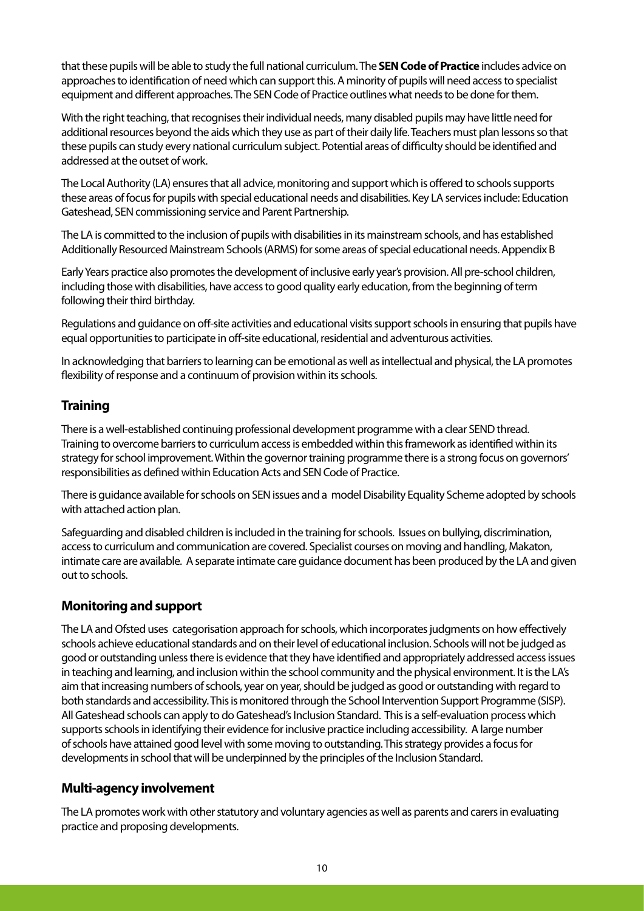that these pupils will be able to study the full national curriculum. The **SEN Code of Practice** includes advice on approaches to identification of need which can support this. A minority of pupils will need access to specialist equipment and different approaches. The SEN Code of Practice outlines what needs to be done for them.

With the right teaching, that recognises their individual needs, many disabled pupils may have little need for additional resources beyond the aids which they use as part of their daily life. Teachers must plan lessons so that these pupils can study every national curriculum subject. Potential areas of difficulty should be identified and addressed at the outset of work.

The Local Authority (LA) ensures that all advice, monitoring and support which is offered to schools supports these areas of focus for pupils with special educational needs and disabilities. Key LA services include: Education Gateshead, SEN commissioning service and Parent Partnership.

The LA is committed to the inclusion of pupils with disabilities in its mainstream schools, and has established Additionally Resourced Mainstream Schools (ARMS) for some areas of special educational needs. Appendix B

Early Years practice also promotes the development of inclusive early year's provision. All pre-school children, including those with disabilities, have access to good quality early education, from the beginning of term following their third birthday.

Regulations and guidance on off-site activities and educational visits support schools in ensuring that pupils have equal opportunities to participate in off-site educational, residential and adventurous activities.

In acknowledging that barriers to learning can be emotional as well as intellectual and physical, the LA promotes flexibility of response and a continuum of provision within its schools.

#### **Training**

There is a well-established continuing professional development programme with a clear SEND thread. Training to overcome barriers to curriculum access is embedded within this framework as identified within its strategy for school improvement. Within the governor training programme there is a strong focus on governors' responsibilities as defined within Education Acts and SEN Code of Practice.

There is guidance available for schools on SEN issues and a model Disability Equality Scheme adopted by schools with attached action plan.

Safeguarding and disabled children is included in the training for schools. Issues on bullying, discrimination, access to curriculum and communication are covered. Specialist courses on moving and handling, Makaton, intimate care are available. A separate intimate care guidance document has been produced by the LA and given out to schools.

#### **Monitoring and support**

The LA and Ofsted uses categorisation approach for schools, which incorporates judgments on how effectively schools achieve educational standards and on their level of educational inclusion. Schools will not be judged as good or outstanding unless there is evidence that they have identified and appropriately addressed access issues in teaching and learning, and inclusion within the school community and the physical environment. It is the LA's aim that increasing numbers of schools, year on year, should be judged as good or outstanding with regard to both standards and accessibility. This is monitored through the School Intervention Support Programme (SISP). All Gateshead schools can apply to do Gateshead's Inclusion Standard. This is a self-evaluation process which supports schools in identifying their evidence for inclusive practice including accessibility. A large number of schools have attained good level with some moving to outstanding. This strategy provides a focus for developments in school that will be underpinned by the principles of the Inclusion Standard.

#### **Multi-agency involvement**

The LA promotes work with other statutory and voluntary agencies as well as parents and carers in evaluating practice and proposing developments.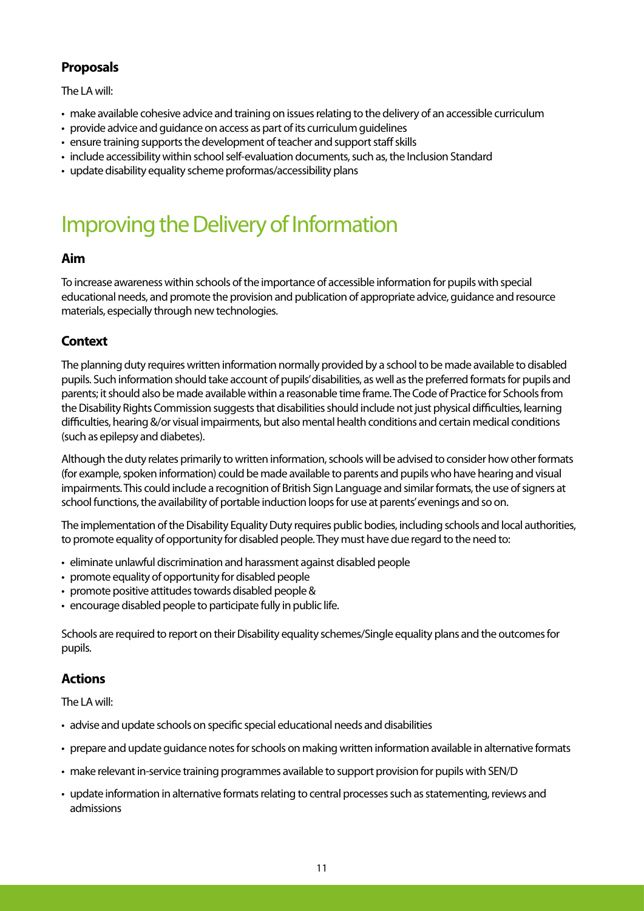#### **Proposals**

The LA will:

- make available cohesive advice and training on issues relating to the delivery of an accessible curriculum
- provide advice and guidance on access as part of its curriculum guidelines
- ensure training supports the development of teacher and support staff skills
- include accessibility within school self-evaluation documents, such as, the Inclusion Standard
- update disability equality scheme proformas/accessibility plans

### Improving the Delivery of Information

#### **Aim**

To increase awareness within schools of the importance of accessible information for pupils with special educational needs, and promote the provision and publication of appropriate advice, guidance and resource materials, especially through new technologies.

#### **Context**

The planning duty requires written information normally provided by a school to be made available to disabled pupils. Such information should take account of pupils' disabilities, as well as the preferred formats for pupils and parents; it should also be made available within a reasonable time frame. The Code of Practice for Schools from the Disability Rights Commission suggests that disabilities should include not just physical difficulties, learning difficulties, hearing &/or visual impairments, but also mental health conditions and certain medical conditions (such as epilepsy and diabetes).

Although the duty relates primarily to written information, schools will be advised to consider how other formats (for example, spoken information) could be made available to parents and pupils who have hearing and visual impairments. This could include a recognition of British Sign Language and similar formats, the use of signers at school functions, the availability of portable induction loops for use at parents' evenings and so on.

The implementation of the Disability Equality Duty requires public bodies, including schools and local authorities, to promote equality of opportunity for disabled people. They must have due regard to the need to:

- eliminate unlawful discrimination and harassment against disabled people
- promote equality of opportunity for disabled people
- promote positive attitudes towards disabled people &
- encourage disabled people to participate fully in public life.

Schools are required to report on their Disability equality schemes/Single equality plans and the outcomes for pupils.

#### **Actions**

The LA will:

- advise and update schools on specific special educational needs and disabilities
- prepare and update guidance notes for schools on making written information available in alternative formats
- make relevant in-service training programmes available to support provision for pupils with SEN/D
- update information in alternative formats relating to central processes such as statementing, reviews and admissions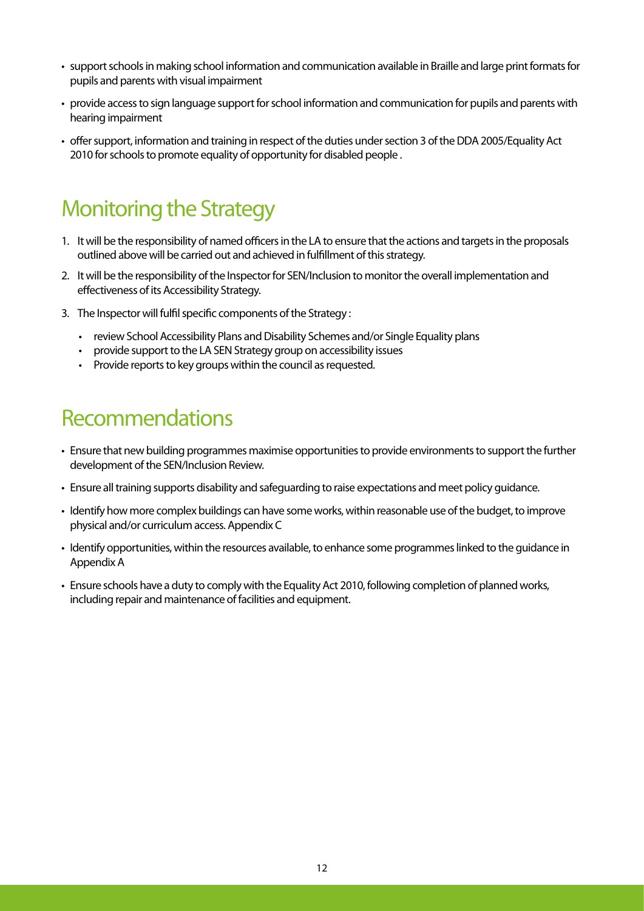- support schools in making school information and communication available in Braille and large print formats for pupils and parents with visual impairment
- provide access to sign language support for school information and communication for pupils and parents with hearing impairment
- offer support, information and training in respect of the duties under section 3 of the DDA 2005/Equality Act 2010 for schools to promote equality of opportunity for disabled people.

### Monitoring the Strategy

- 1. It will be the responsibility of named officers in the LA to ensure that the actions and targets in the proposals outlined above will be carried out and achieved in fulfillment of this strategy.
- 2. It will be the responsibility of the Inspector for SEN/Inclusion to monitor the overall implementation and effectiveness of its Accessibility Strategy.
- 3. The Inspector will fulfil specific components of the Strategy :
	- review School Accessibility Plans and Disability Schemes and/or Single Equality plans
	- provide support to the LA SEN Strategy group on accessibility issues
	- Provide reports to key groups within the council as requested.

### Recommendations

- Ensure that new building programmes maximise opportunities to provide environments to support the further development of the SEN/Inclusion Review.
- Ensure all training supports disability and safeguarding to raise expectations and meet policy guidance.
- Identify how more complex buildings can have some works, within reasonable use of the budget, to improve physical and/or curriculum access. Appendix C
- Identify opportunities, within the resources available, to enhance some programmes linked to the guidance in Appendix A
- Ensure schools have a duty to comply with the Equality Act 2010, following completion of planned works, including repair and maintenance of facilities and equipment.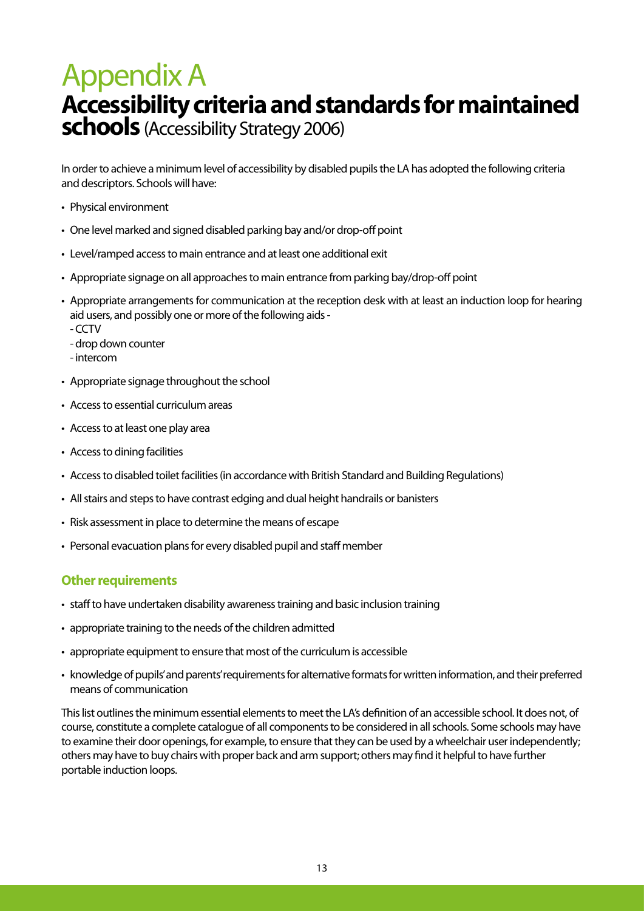### Appendix A **Accessibility criteria and standards for maintained schools** (Accessibility Strategy 2006)

In order to achieve a minimum level of accessibility by disabled pupils the LA has adopted the following criteria and descriptors. Schools will have:

- Physical environment
- One level marked and signed disabled parking bay and/or drop-off point
- Level/ramped access to main entrance and at least one additional exit
- Appropriate signage on all approaches to main entrance from parking bay/drop-off point
- Appropriate arrangements for communication at the reception desk with at least an induction loop for hearing aid users, and possibly one or more of the following aids -
	- CCTV
	- drop down counter
	- intercom
- Appropriate signage throughout the school
- Access to essential curriculum areas
- Access to at least one play area
- Access to dining facilities
- Access to disabled toilet facilities (in accordance with British Standard and Building Regulations)
- All stairs and steps to have contrast edging and dual height handrails or banisters
- Risk assessment in place to determine the means of escape
- Personal evacuation plans for every disabled pupil and staff member

#### **Other requirements**

- staff to have undertaken disability awareness training and basic inclusion training
- appropriate training to the needs of the children admitted
- appropriate equipment to ensure that most of the curriculum is accessible
- knowledge of pupils' and parents' requirements for alternative formats for written information, and their preferred means of communication

This list outlines the minimum essential elements to meet the LA's definition of an accessible school. It does not, of course, constitute a complete catalogue of all components to be considered in all schools. Some schools may have to examine their door openings, for example, to ensure that they can be used by a wheelchair user independently; others may have to buy chairs with proper back and arm support; others may find it helpful to have further portable induction loops.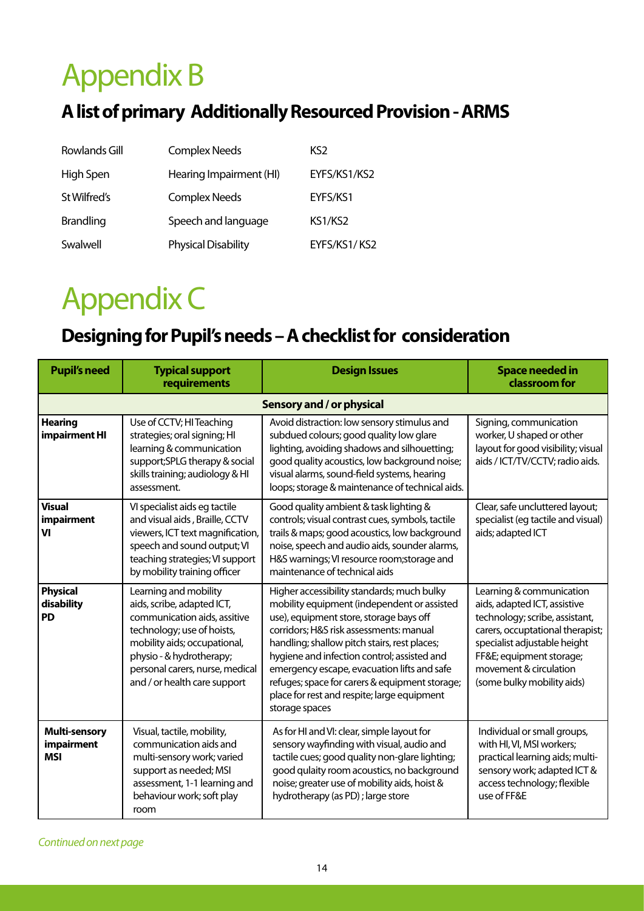# Appendix B

### **A list of primary Additionally Resourced Provision - ARMS**

| Rowlands Gill    | <b>Complex Needs</b>       | KS <sub>2</sub> |
|------------------|----------------------------|-----------------|
| High Spen        | Hearing Impairment (HI)    | EYFS/KS1/KS2    |
| St Wilfred's     | <b>Complex Needs</b>       | EYFS/KS1        |
| <b>Brandling</b> | Speech and language        | KS1/KS2         |
| Swalwell         | <b>Physical Disability</b> | EYFS/KS1/KS2    |

# Appendix C

### **Designing for Pupil's needs – A checklist for consideration**

| <b>Pupil's need</b>                        | <b>Typical support</b><br>requirements                                                                                                                                                                                                           | <b>Design Issues</b>                                                                                                                                                                                                                                                                                                                                                                                                                             | <b>Space needed in</b><br>classroom for                                                                                                                                                                                                           |  |  |
|--------------------------------------------|--------------------------------------------------------------------------------------------------------------------------------------------------------------------------------------------------------------------------------------------------|--------------------------------------------------------------------------------------------------------------------------------------------------------------------------------------------------------------------------------------------------------------------------------------------------------------------------------------------------------------------------------------------------------------------------------------------------|---------------------------------------------------------------------------------------------------------------------------------------------------------------------------------------------------------------------------------------------------|--|--|
| <b>Sensory and / or physical</b>           |                                                                                                                                                                                                                                                  |                                                                                                                                                                                                                                                                                                                                                                                                                                                  |                                                                                                                                                                                                                                                   |  |  |
| <b>Hearing</b><br>impairment HI            | Use of CCTV; HI Teaching<br>strategies; oral signing; HI<br>learning & communication<br>support;SPLG therapy & social<br>skills training; audiology & HI<br>assessment.                                                                          | Avoid distraction: low sensory stimulus and<br>subdued colours; good quality low glare<br>lighting, avoiding shadows and silhouetting;<br>good quality acoustics, low background noise;<br>visual alarms, sound-field systems, hearing<br>loops; storage & maintenance of technical aids.                                                                                                                                                        | Signing, communication<br>worker, U shaped or other<br>layout for good visibility; visual<br>aids / ICT/TV/CCTV; radio aids.                                                                                                                      |  |  |
| <b>Visual</b><br>impairment<br>VI          | VI specialist aids eg tactile<br>and visual aids, Braille, CCTV<br>viewers, ICT text magnification,<br>speech and sound output; VI<br>teaching strategies; VI support<br>by mobility training officer                                            | Good quality ambient & task lighting &<br>controls; visual contrast cues, symbols, tactile<br>trails & maps; good acoustics, low background<br>noise, speech and audio aids, sounder alarms,<br>H&S warnings; VI resource room; storage and<br>maintenance of technical aids                                                                                                                                                                     | Clear, safe uncluttered layout;<br>specialist (eq tactile and visual)<br>aids; adapted ICT                                                                                                                                                        |  |  |
| <b>Physical</b><br>disability<br><b>PD</b> | Learning and mobility<br>aids, scribe, adapted ICT,<br>communication aids, assitive<br>technology; use of hoists,<br>mobility aids; occupational,<br>physio - & hydrotherapy;<br>personal carers, nurse, medical<br>and / or health care support | Higher accessibility standards; much bulky<br>mobility equipment (independent or assisted<br>use), equipment store, storage bays off<br>corridors; H&S risk assessments: manual<br>handling; shallow pitch stairs, rest places;<br>hygiene and infection control; assisted and<br>emergency escape, evacuation lifts and safe<br>refuges; space for carers & equipment storage;<br>place for rest and respite; large equipment<br>storage spaces | Learning & communication<br>aids, adapted ICT, assistive<br>technology; scribe, assistant,<br>carers, occuptational therapist;<br>specialist adjustable height<br>FF&E equipment storage;<br>movement & circulation<br>(some bulky mobility aids) |  |  |
| Multi-sensory<br>impairment<br><b>MSI</b>  | Visual, tactile, mobility,<br>communication aids and<br>multi-sensory work; varied<br>support as needed; MSI<br>assessment, 1-1 learning and<br>behaviour work; soft play<br>room                                                                | As for HI and VI: clear, simple layout for<br>sensory wayfinding with visual, audio and<br>tactile cues; good quality non-glare lighting;<br>good qulaity room acoustics, no background<br>noise; greater use of mobility aids, hoist &<br>hydrotherapy (as PD); large store                                                                                                                                                                     | Individual or small groups,<br>with HI, VI, MSI workers;<br>practical learning aids; multi-<br>sensory work; adapted ICT &<br>access technology; flexible<br>use of FF&E                                                                          |  |  |

*Continued on next page*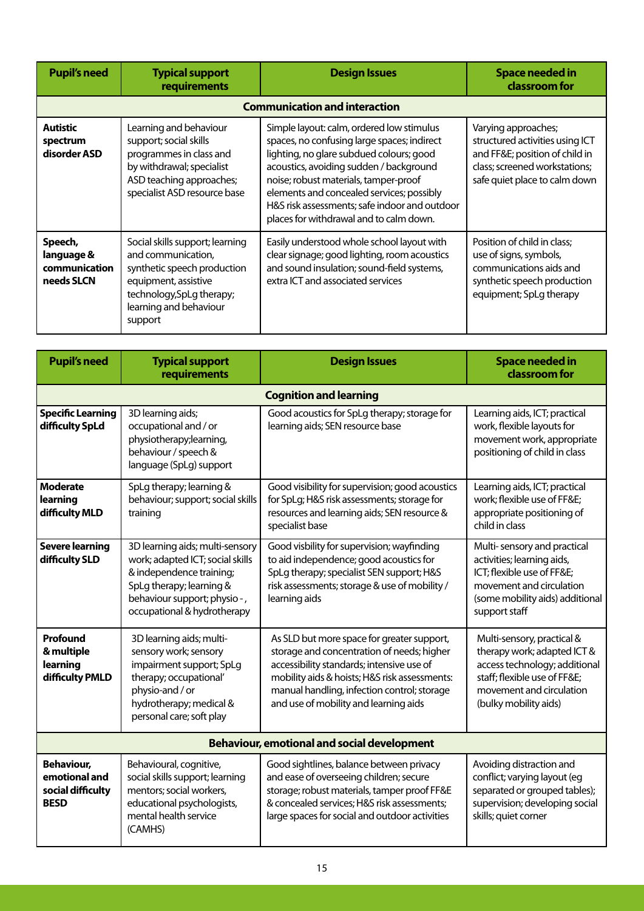| <b>Pupil's need</b>                                  | <b>Typical support</b><br>requirements                                                                                                                                         | <b>Design Issues</b>                                                                                                                                                                                                                                                                                                                                              | <b>Space needed in</b><br>classroom for                                                                                                                   |  |
|------------------------------------------------------|--------------------------------------------------------------------------------------------------------------------------------------------------------------------------------|-------------------------------------------------------------------------------------------------------------------------------------------------------------------------------------------------------------------------------------------------------------------------------------------------------------------------------------------------------------------|-----------------------------------------------------------------------------------------------------------------------------------------------------------|--|
| <b>Communication and interaction</b>                 |                                                                                                                                                                                |                                                                                                                                                                                                                                                                                                                                                                   |                                                                                                                                                           |  |
| <b>Autistic</b><br>spectrum<br>disorder ASD          | Learning and behaviour<br>support; social skills<br>programmes in class and<br>by withdrawal; specialist<br>ASD teaching approaches;<br>specialist ASD resource base           | Simple layout: calm, ordered low stimulus<br>spaces, no confusing large spaces; indirect<br>lighting, no glare subdued colours; good<br>acoustics, avoiding sudden / background<br>noise; robust materials, tamper-proof<br>elements and concealed services; possibly<br>H&S risk assessments; safe indoor and outdoor<br>places for withdrawal and to calm down. | Varying approaches;<br>structured activities using ICT<br>and FF&E position of child in<br>class; screened workstations;<br>safe quiet place to calm down |  |
| Speech,<br>language &<br>communication<br>needs SLCN | Social skills support; learning<br>and communication,<br>synthetic speech production<br>equipment, assistive<br>technology, SpLg therapy;<br>learning and behaviour<br>support | Easily understood whole school layout with<br>clear signage; good lighting, room acoustics<br>and sound insulation; sound-field systems,<br>extra ICT and associated services                                                                                                                                                                                     | Position of child in class;<br>use of signs, symbols,<br>communications aids and<br>synthetic speech production<br>equipment; SpLg therapy                |  |

| <b>Pupil's need</b>                                                    | <b>Typical support</b><br>requirements                                                                                                                                                     | <b>Design Issues</b>                                                                                                                                                                                                                                                           | <b>Space needed in</b><br>classroom for                                                                                                                                        |  |
|------------------------------------------------------------------------|--------------------------------------------------------------------------------------------------------------------------------------------------------------------------------------------|--------------------------------------------------------------------------------------------------------------------------------------------------------------------------------------------------------------------------------------------------------------------------------|--------------------------------------------------------------------------------------------------------------------------------------------------------------------------------|--|
| <b>Cognition and learning</b>                                          |                                                                                                                                                                                            |                                                                                                                                                                                                                                                                                |                                                                                                                                                                                |  |
| <b>Specific Learning</b><br>difficulty SpLd                            | 3D learning aids;<br>occupational and / or<br>physiotherapy; learning,<br>behaviour / speech &<br>language (SpLg) support                                                                  | Good acoustics for SpLg therapy; storage for<br>learning aids; SEN resource base                                                                                                                                                                                               | Learning aids, ICT; practical<br>work, flexible layouts for<br>movement work, appropriate<br>positioning of child in class                                                     |  |
| <b>Moderate</b><br>learning<br>difficulty MLD                          | SpLg therapy; learning &<br>behaviour; support; social skills<br>training                                                                                                                  | Good visibility for supervision; good acoustics<br>for SpLg; H&S risk assessments; storage for<br>resources and learning aids; SEN resource &<br>specialist base                                                                                                               | Learning aids, ICT; practical<br>work; flexible use of FF&E<br>appropriate positioning of<br>child in class                                                                    |  |
| <b>Severe learning</b><br>difficulty SLD                               | 3D learning aids; multi-sensory<br>work; adapted ICT; social skills<br>& independence training;<br>SpLg therapy; learning &<br>behaviour support; physio -,<br>occupational & hydrotherapy | Good visbility for supervision; wayfinding<br>to aid independence; good acoustics for<br>SpLg therapy; specialist SEN support; H&S<br>risk assessments; storage & use of mobility /<br>learning aids                                                                           | Multi-sensory and practical<br>activities; learning aids,<br>ICT; flexible use of FF&E<br>movement and circulation<br>(some mobility aids) additional<br>support staff         |  |
| Profound<br>& multiple<br>learning<br>difficulty PMLD                  | 3D learning aids; multi-<br>sensory work; sensory<br>impairment support; SpLg<br>therapy; occupational'<br>physio-and / or<br>hydrotherapy; medical &<br>personal care; soft play          | As SLD but more space for greater support,<br>storage and concentration of needs; higher<br>accessibility standards; intensive use of<br>mobility aids & hoists; H&S risk assessments:<br>manual handling, infection control; storage<br>and use of mobility and learning aids | Multi-sensory, practical &<br>therapy work; adapted ICT &<br>access technology; additional<br>staff; flexible use of FF&E<br>movement and circulation<br>(bulky mobility aids) |  |
| <b>Behaviour, emotional and social development</b>                     |                                                                                                                                                                                            |                                                                                                                                                                                                                                                                                |                                                                                                                                                                                |  |
| <b>Behaviour,</b><br>emotional and<br>social difficulty<br><b>BESD</b> | Behavioural, cognitive,<br>social skills support; learning<br>mentors; social workers,<br>educational psychologists,<br>mental health service<br>(CAMHS)                                   | Good sightlines, balance between privacy<br>and ease of overseeing children; secure<br>storage; robust materials, tamper proof FF&E<br>& concealed services; H&S risk assessments;<br>large spaces for social and outdoor activities                                           | Avoiding distraction and<br>conflict; varying layout (eg<br>separated or grouped tables);<br>supervision; developing social<br>skills; quiet corner                            |  |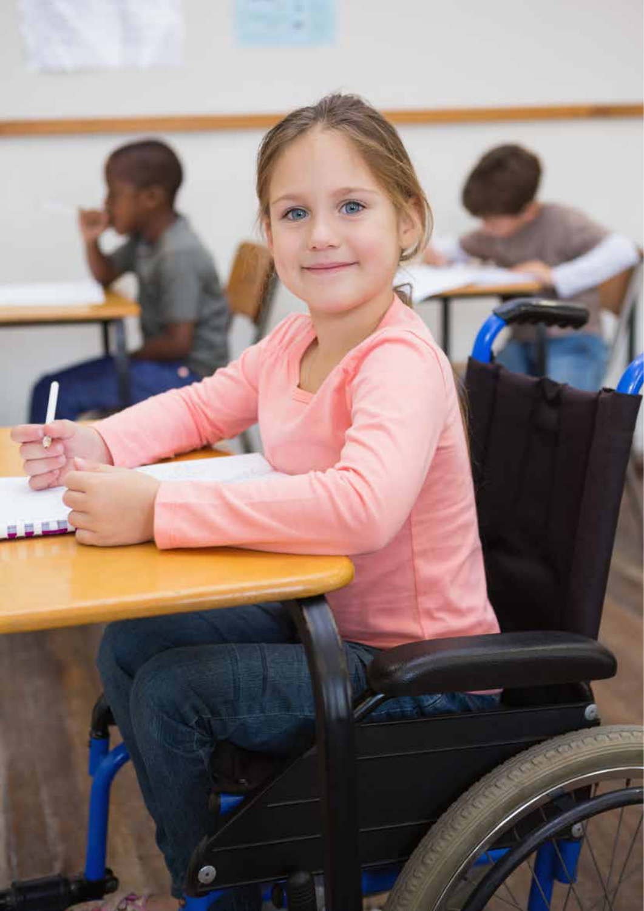